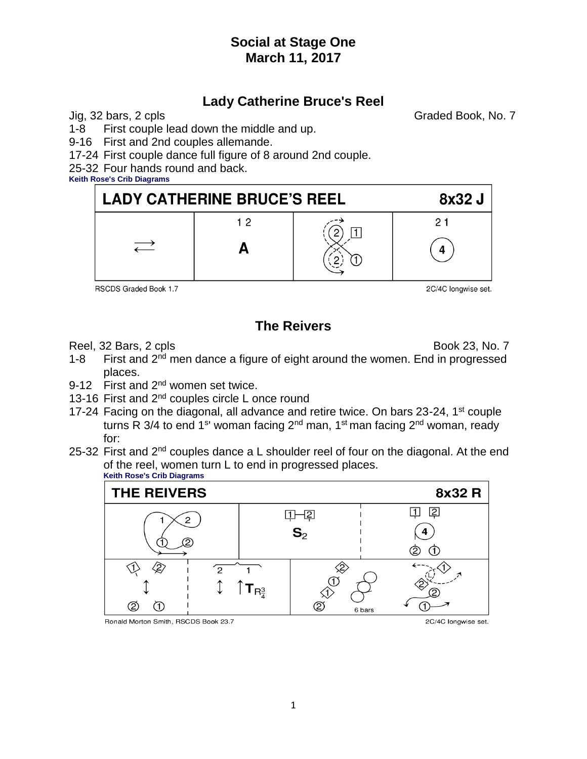## **Lady Catherine Bruce's Reel**

Jig, 32 bars, 2 cpls Graded Book, No. 7

1-8 First couple lead down the middle and up.

9-16 First and 2nd couples allemande.

17-24 First couple dance full figure of 8 around 2nd couple.

25-32 Four hands round and back.

**Keith Rose's Crib Diagrams**



RSCDS Graded Book 1.7

2C/4C longwise set.

# **The Reivers**

Reel, 32 Bars, 2 cpls Book 23, No. 7

- 1-8 First and 2<sup>nd</sup> men dance a figure of eight around the women. End in progressed places.
- 9-12 First and 2<sup>nd</sup> women set twice.
- 13-16 First and 2<sup>nd</sup> couples circle L once round
- 17-24 Facing on the diagonal, all advance and retire twice. On bars 23-24, 1<sup>st</sup> couple turns R 3/4 to end 1<sup>s</sup>' woman facing 2<sup>nd</sup> man, 1<sup>st</sup> man facing 2<sup>nd</sup> woman, ready for:
- 25-32 First and  $2<sup>nd</sup>$  couples dance a L shoulder reel of four on the diagonal. At the end of the reel, women turn L to end in progressed places. **Keith Rose's Crib Diagrams**



Ronald Morton Smith, RSCDS Book 23.7

2C/4C longwise set.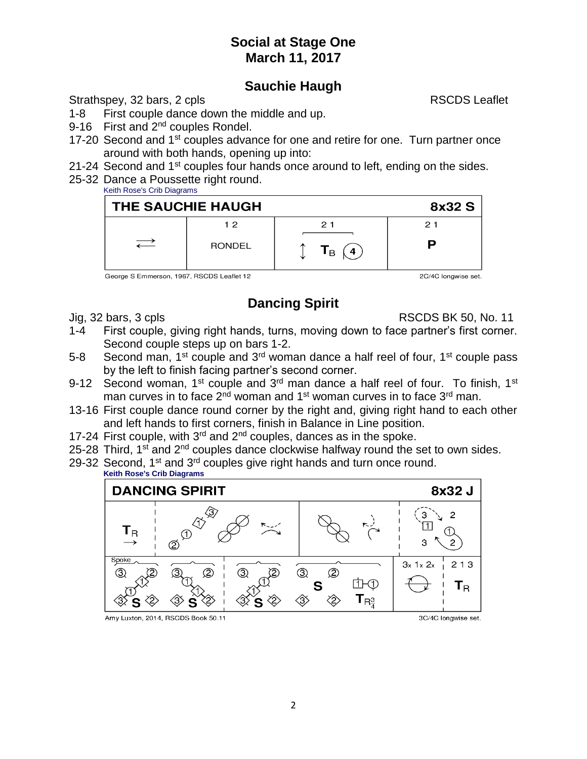#### **Sauchie Haugh**

Strathspey, 32 bars, 2 cpls RSCDS Leaflet

- 1-8 First couple dance down the middle and up.
- 9-16 First and 2<sup>nd</sup> couples Rondel.
- 17-20 Second and 1<sup>st</sup> couples advance for one and retire for one. Turn partner once around with both hands, opening up into:
- 21-24 Second and 1<sup>st</sup> couples four hands once around to left, ending on the sides.
- 25-32 Dance a Poussette right round.
	- Keith Rose's Crib Diagrams



George S Emmerson, 1967, RSCDS Leaflet 12

2C/4C longwise set.

# **Dancing Spirit**

Jig, 32 bars, 3 cpls RSCDS BK 50, No. 11

- 1-4 First couple, giving right hands, turns, moving down to face partner's first corner. Second couple steps up on bars 1-2.
- 5-8 Second man, 1<sup>st</sup> couple and 3<sup>rd</sup> woman dance a half reel of four, 1<sup>st</sup> couple pass by the left to finish facing partner's second corner.
- 9-12 Second woman, 1<sup>st</sup> couple and  $3<sup>rd</sup>$  man dance a half reel of four. To finish, 1<sup>st</sup> man curves in to face  $2<sup>nd</sup>$  woman and 1<sup>st</sup> woman curves in to face  $3<sup>rd</sup>$  man.
- 13-16 First couple dance round corner by the right and, giving right hand to each other and left hands to first corners, finish in Balance in Line position.
- 17-24 First couple, with 3<sup>rd</sup> and 2<sup>nd</sup> couples, dances as in the spoke.
- 25-28 Third, 1<sup>st</sup> and 2<sup>nd</sup> couples dance clockwise halfway round the set to own sides.
- 29-32 Second, 1<sup>st</sup> and 3<sup>rd</sup> couples give right hands and turn once round.

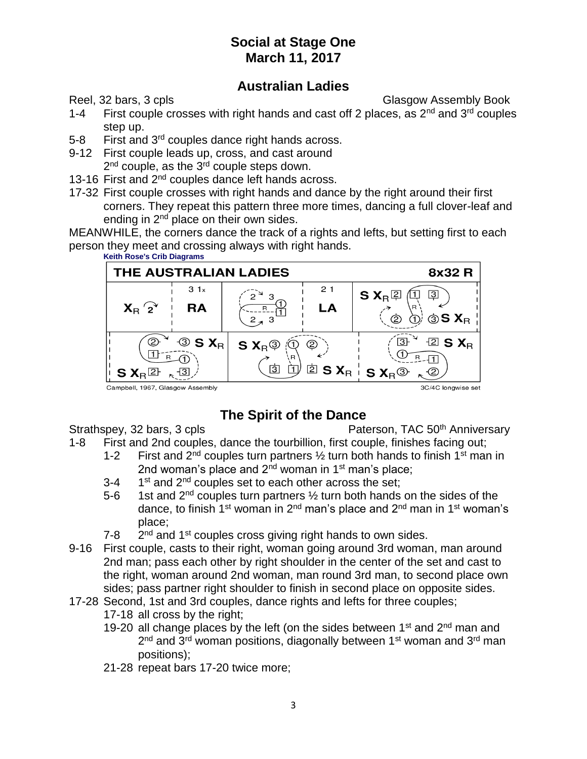#### **Australian Ladies**

Reel, 32 bars, 3 cpls Glasgow Assembly Book

- 1-4 First couple crosses with right hands and cast off 2 places, as  $2^{nd}$  and  $3^{rd}$  couples step up.
- 5-8 First and 3<sup>rd</sup> couples dance right hands across.
- 9-12 First couple leads up, cross, and cast around 2<sup>nd</sup> couple, as the 3<sup>rd</sup> couple steps down.
- 13-16 First and 2<sup>nd</sup> couples dance left hands across.
- 17-32 First couple crosses with right hands and dance by the right around their first corners. They repeat this pattern three more times, dancing a full clover-leaf and ending in 2<sup>nd</sup> place on their own sides.

MEANWHILE, the corners dance the track of a rights and lefts, but setting first to each person they meet and crossing always with right hands.



#### Campbell, 1967, Glasgow Assembly

# **The Spirit of the Dance**

Strathspey, 32 bars, 3 cpls Paterson, TAC 50<sup>th</sup> Anniversary

- 1-8 First and 2nd couples, dance the tourbillion, first couple, finishes facing out;
	- 1-2 First and  $2<sup>nd</sup>$  couples turn partners  $\frac{1}{2}$  turn both hands to finish 1<sup>st</sup> man in 2nd woman's place and  $2<sup>nd</sup>$  woman in 1<sup>st</sup> man's place;
	- $3 4$  $1<sup>st</sup>$  and  $2<sup>nd</sup>$  couples set to each other across the set;
	- 5-6 1st and  $2<sup>nd</sup>$  couples turn partners  $\frac{1}{2}$  turn both hands on the sides of the dance, to finish 1<sup>st</sup> woman in 2<sup>nd</sup> man's place and 2<sup>nd</sup> man in 1<sup>st</sup> woman's place;
	- $7 8$  $2<sup>nd</sup>$  and 1<sup>st</sup> couples cross giving right hands to own sides.
- 9-16 First couple, casts to their right, woman going around 3rd woman, man around 2nd man; pass each other by right shoulder in the center of the set and cast to the right, woman around 2nd woman, man round 3rd man, to second place own sides; pass partner right shoulder to finish in second place on opposite sides.
- 17-28 Second, 1st and 3rd couples, dance rights and lefts for three couples;
	- 17-18 all cross by the right;
	- 19-20 all change places by the left (on the sides between  $1<sup>st</sup>$  and  $2<sup>nd</sup>$  man and 2<sup>nd</sup> and 3<sup>rd</sup> woman positions, diagonally between 1<sup>st</sup> woman and 3<sup>rd</sup> man positions);
	- 21-28 repeat bars 17-20 twice more;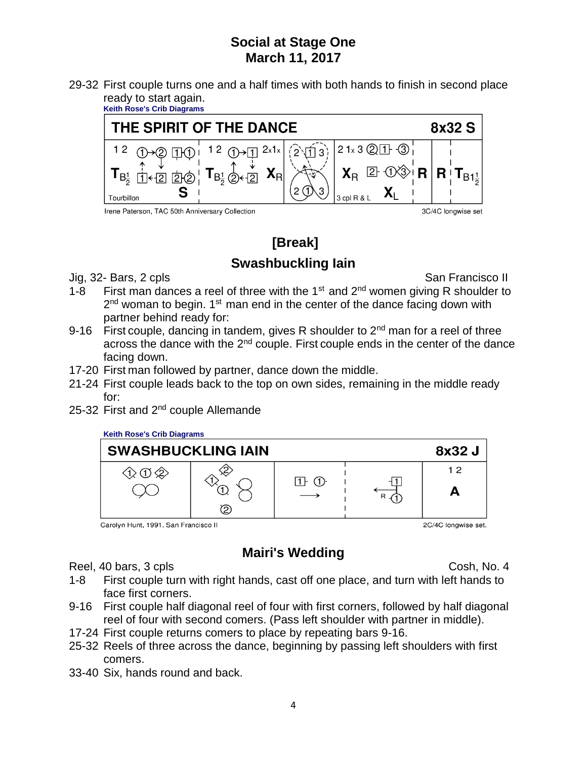29-32 First couple turns one and a half times with both hands to finish in second place ready to start again.



# **[Break] Swashbuckling Iain**

Jig, 32- Bars, 2 cpls San Francisco II

- 1-8 First man dances a reel of three with the  $1<sup>st</sup>$  and  $2<sup>nd</sup>$  women giving R shoulder to 2<sup>nd</sup> woman to begin. 1<sup>st</sup> man end in the center of the dance facing down with partner behind ready for:
- 9-16 First couple, dancing in tandem, gives R shoulder to  $2<sup>nd</sup>$  man for a reel of three across the dance with the  $2<sup>nd</sup>$  couple. First couple ends in the center of the dance facing down.
- 17-20 First man followed by partner, dance down the middle.
- 21-24 First couple leads back to the top on own sides, remaining in the middle ready for:
- 25-32 First and 2nd couple Allemande

#### **Keith Rose's Crib Diagrams**



Carolyn Hunt, 1991, San Francisco II

2C/4C longwise set.

# **Mairi's Wedding**

Reel, 40 bars, 3 cpls Cosh, No. 4

- 1-8 First couple turn with right hands, cast off one place, and turn with left hands to face first corners.
- 9-16 First couple half diagonal reel of four with first corners, followed by half diagonal reel of four with second comers. (Pass left shoulder with partner in middle).
- 17-24 First couple returns comers to place by repeating bars 9-16.
- 25-32 Reels of three across the dance, beginning by passing left shoulders with first comers.
- 33-40 Six, hands round and back.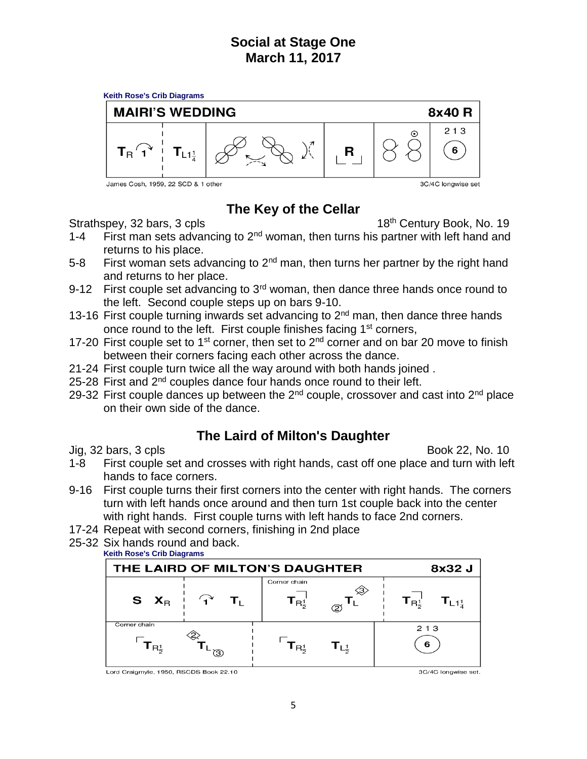

# **The Key of the Cellar**

Strathspey, 32 bars, 3 cpls 18th Century Book, No. 19

- 1-4 First man sets advancing to  $2<sup>nd</sup>$  woman, then turns his partner with left hand and returns to his place.
- 5-8 First woman sets advancing to  $2<sup>nd</sup>$  man, then turns her partner by the right hand and returns to her place.
- 9-12 First couple set advancing to  $3<sup>rd</sup>$  woman, then dance three hands once round to the left. Second couple steps up on bars 9-10.
- 13-16 First couple turning inwards set advancing to  $2<sup>nd</sup>$  man, then dance three hands once round to the left. First couple finishes facing 1<sup>st</sup> corners,
- 17-20 First couple set to 1<sup>st</sup> corner, then set to 2<sup>nd</sup> corner and on bar 20 move to finish between their corners facing each other across the dance.
- 21-24 First couple turn twice all the way around with both hands joined .
- 25-28 First and 2<sup>nd</sup> couples dance four hands once round to their left.
- 29-32 First couple dances up between the  $2^{nd}$  couple, crossover and cast into  $2^{nd}$  place on their own side of the dance.

## **The Laird of Milton's Daughter**

Jig, 32 bars, 3 cpls Book 22, No. 10

- 1-8 First couple set and crosses with right hands, cast off one place and turn with left hands to face corners.
- 9-16 First couple turns their first corners into the center with right hands. The corners turn with left hands once around and then turn 1st couple back into the center with right hands. First couple turns with left hands to face 2nd corners.
- 17-24 Repeat with second corners, finishing in 2nd place
- 25-32 Six hands round and back.



Lord Craigmyle, 1950, RSCDS Book 22.10

3C/4C longwise set.